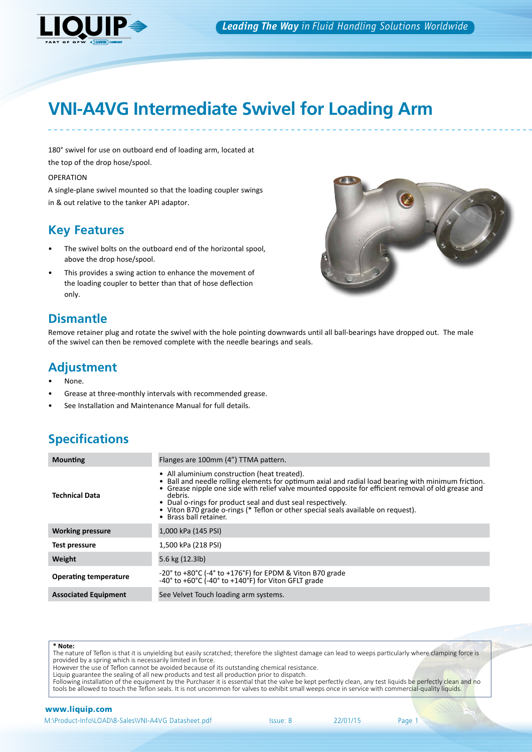

# **VNI-A4VG Intermediate Swivel for Loading Arm**

180° swivel for use on outboard end of loading arm, located at the top of the drop hose/spool.

OPERATION

A single-plane swivel mounted so that the loading coupler swings in & out relative to the tanker API adaptor.

### **Key Features**

- The swivel bolts on the outboard end of the horizontal spool, above the drop hose/spool.
- This provides a swing action to enhance the movement of the loading coupler to better than that of hose deflection only.



### **Dismantle**

Remove retainer plug and rotate the swivel with the hole pointing downwards until all ball-bearings have dropped out. The male of the swivel can then be removed complete with the needle bearings and seals.

# **Adjustment**

- None.
- Grease at three-monthly intervals with recommended grease.
- See Installation and Maintenance Manual for full details.

# **Specifications**

| <b>Mounting</b>              | Flanges are 100mm (4") TTMA pattern.                                                                                                                                                                                                                                                                                                                                                                                                                |
|------------------------------|-----------------------------------------------------------------------------------------------------------------------------------------------------------------------------------------------------------------------------------------------------------------------------------------------------------------------------------------------------------------------------------------------------------------------------------------------------|
| <b>Technical Data</b>        | • All aluminium construction (heat treated).<br>. Ball and needle rolling elements for optimum axial and radial load bearing with minimum friction.<br>• Grease nipple one side with relief valve mounted opposite for efficient removal of old grease and<br>debris.<br>• Dual o-rings for product seal and dust seal respectively.<br>• Viton B70 grade o-rings (* Teflon or other special seals available on request).<br>• Brass ball retainer. |
| <b>Working pressure</b>      | 1,000 kPa (145 PSI)                                                                                                                                                                                                                                                                                                                                                                                                                                 |
| Test pressure                | 1,500 kPa (218 PSI)                                                                                                                                                                                                                                                                                                                                                                                                                                 |
| Weight                       | 5.6 kg (12.3lb)                                                                                                                                                                                                                                                                                                                                                                                                                                     |
| <b>Operating temperature</b> | $-20^{\circ}$ to $+80^{\circ}$ C (-4° to $+176^{\circ}$ F) for EPDM & Viton B70 grade<br>-40° to +60°C (-40° to +140°F) for Viton GFLT grade                                                                                                                                                                                                                                                                                                        |
| <b>Associated Equipment</b>  | See Velvet Touch loading arm systems.                                                                                                                                                                                                                                                                                                                                                                                                               |

| * Note:                                                                                                                                                     |
|-------------------------------------------------------------------------------------------------------------------------------------------------------------|
| The nature of Teflon is that it is unyielding but easily scratched; therefore the slightest damage can lead to weeps particularly where clamping force is   |
| provided by a spring which is necessarily limited in force.                                                                                                 |
| However the use of Teflon cannot be avoided because of its outstanding chemical resistance.                                                                 |
| Liquip guarantee the sealing of all new products and test all production prior to dispatch.                                                                 |
| Following installation of the equipment by the Purchaser it is essential that the valve be kept perfectly clean, any test liquids be perfectly clean and no |
| tools be allowed to touch the Teflon seals. It is not uncommon for valves to exhibit small weeps once in service with commercial-quality liquids.           |

#### www.liquip.com

M:\Product-Info\LOAD\8-Sales\VNI-A4VG Datasheet.pdf Issue: B 22/01/15 Page 1